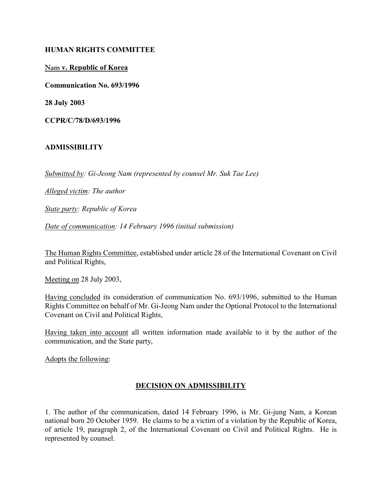### HUMAN RIGHTS COMMITTEE

### Nam v. Republic of Korea

Communication No. 693/1996

28 July 2003

CCPR/C/78/D/693/1996

### ADMISSIBILITY

Submitted by: Gi-Jeong Nam (represented by counsel Mr. Suk Tae Lee)

Alleged victim: The author

State party: Republic of Korea

Date of communication: 14 February 1996 (initial submission)

The Human Rights Committee, established under article 28 of the International Covenant on Civil and Political Rights,

Meeting on 28 July 2003,

Having concluded its consideration of communication No. 693/1996, submitted to the Human Rights Committee on behalf of Mr. Gi-Jeong Nam under the Optional Protocol to the International Covenant on Civil and Political Rights,

Having taken into account all written information made available to it by the author of the communication, and the State party,

Adopts the following:

# DECISION ON ADMISSIBILITY

1. The author of the communication, dated 14 February 1996, is Mr. Gi-jung Nam, a Korean national born 20 October 1959. He claims to be a victim of a violation by the Republic of Korea, of article 19, paragraph 2, of the International Covenant on Civil and Political Rights. He is represented by counsel.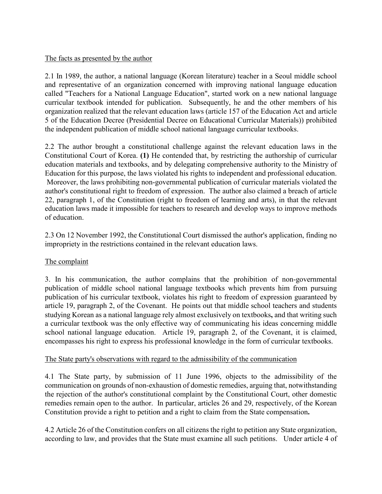# The facts as presented by the author

2.1 In 1989, the author, a national language (Korean literature) teacher in a Seoul middle school and representative of an organization concerned with improving national language education called "Teachers for a National Language Education", started work on a new national language curricular textbook intended for publication. Subsequently, he and the other members of his organization realized that the relevant education laws (article 157 of the Education Act and article 5 of the Education Decree (Presidential Decree on Educational Curricular Materials)) prohibited the independent publication of middle school national language curricular textbooks.

2.2 The author brought a constitutional challenge against the relevant education laws in the Constitutional Court of Korea. (1) He contended that, by restricting the authorship of curricular education materials and textbooks, and by delegating comprehensive authority to the Ministry of Education for this purpose, the laws violated his rights to independent and professional education. Moreover, the laws prohibiting non-governmental publication of curricular materials violated the author's constitutional right to freedom of expression. The author also claimed a breach of article 22, paragraph 1, of the Constitution (right to freedom of learning and arts), in that the relevant education laws made it impossible for teachers to research and develop ways to improve methods of education.

2.3 On 12 November 1992, the Constitutional Court dismissed the author's application, finding no impropriety in the restrictions contained in the relevant education laws.

# The complaint

3. In his communication, the author complains that the prohibition of non-governmental publication of middle school national language textbooks which prevents him from pursuing publication of his curricular textbook, violates his right to freedom of expression guaranteed by article 19, paragraph 2, of the Covenant. He points out that middle school teachers and students studying Korean as a national language rely almost exclusively on textbooks, and that writing such a curricular textbook was the only effective way of communicating his ideas concerning middle school national language education. Article 19, paragraph 2, of the Covenant, it is claimed, encompasses his right to express his professional knowledge in the form of curricular textbooks.

# The State party's observations with regard to the admissibility of the communication

4.1 The State party, by submission of 11 June 1996, objects to the admissibility of the communication on grounds of non-exhaustion of domestic remedies, arguing that, notwithstanding the rejection of the author's constitutional complaint by the Constitutional Court, other domestic remedies remain open to the author. In particular, articles 26 and 29, respectively, of the Korean Constitution provide a right to petition and a right to claim from the State compensation.

4.2 Article 26 of the Constitution confers on all citizens the right to petition any State organization, according to law, and provides that the State must examine all such petitions. Under article 4 of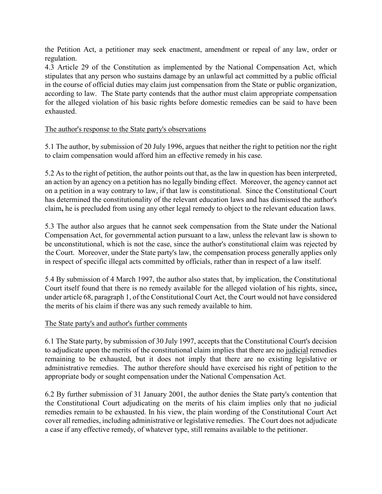the Petition Act, a petitioner may seek enactment, amendment or repeal of any law, order or regulation.

4.3 Article 29 of the Constitution as implemented by the National Compensation Act, which stipulates that any person who sustains damage by an unlawful act committed by a public official in the course of official duties may claim just compensation from the State or public organization, according to law. The State party contends that the author must claim appropriate compensation for the alleged violation of his basic rights before domestic remedies can be said to have been exhausted.

### The author's response to the State party's observations

5.1 The author, by submission of 20 July 1996, argues that neither the right to petition nor the right to claim compensation would afford him an effective remedy in his case.

5.2 As to the right of petition, the author points out that, as the law in question has been interpreted, an action by an agency on a petition has no legally binding effect. Moreover, the agency cannot act on a petition in a way contrary to law, if that law is constitutional. Since the Constitutional Court has determined the constitutionality of the relevant education laws and has dismissed the author's claim, he is precluded from using any other legal remedy to object to the relevant education laws.

5.3 The author also argues that he cannot seek compensation from the State under the National Compensation Act, for governmental action pursuant to a law, unless the relevant law is shown to be unconstitutional, which is not the case, since the author's constitutional claim was rejected by the Court. Moreover, under the State party's law, the compensation process generally applies only in respect of specific illegal acts committed by officials, rather than in respect of a law itself.

5.4 By submission of 4 March 1997, the author also states that, by implication, the Constitutional Court itself found that there is no remedy available for the alleged violation of his rights, since, under article 68, paragraph 1, of the Constitutional Court Act, the Court would not have considered the merits of his claim if there was any such remedy available to him.

#### The State party's and author's further comments

6.1 The State party, by submission of 30 July 1997, accepts that the Constitutional Court's decision to adjudicate upon the merits of the constitutional claim implies that there are no judicial remedies remaining to be exhausted, but it does not imply that there are no existing legislative or administrative remedies. The author therefore should have exercised his right of petition to the appropriate body or sought compensation under the National Compensation Act.

6.2 By further submission of 31 January 2001, the author denies the State party's contention that the Constitutional Court adjudicating on the merits of his claim implies only that no judicial remedies remain to be exhausted. In his view, the plain wording of the Constitutional Court Act cover all remedies, including administrative or legislative remedies. The Court does not adjudicate a case if any effective remedy, of whatever type, still remains available to the petitioner.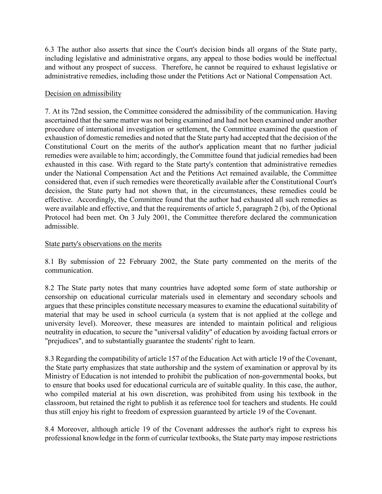6.3 The author also asserts that since the Court's decision binds all organs of the State party, including legislative and administrative organs, any appeal to those bodies would be ineffectual and without any prospect of success. Therefore, he cannot be required to exhaust legislative or administrative remedies, including those under the Petitions Act or National Compensation Act.

### Decision on admissibility

7. At its 72nd session, the Committee considered the admissibility of the communication. Having ascertained that the same matter was not being examined and had not been examined under another procedure of international investigation or settlement, the Committee examined the question of exhaustion of domestic remedies and noted that the State party had accepted that the decision of the Constitutional Court on the merits of the author's application meant that no further judicial remedies were available to him; accordingly, the Committee found that judicial remedies had been exhausted in this case. With regard to the State party's contention that administrative remedies under the National Compensation Act and the Petitions Act remained available, the Committee considered that, even if such remedies were theoretically available after the Constitutional Court's decision, the State party had not shown that, in the circumstances, these remedies could be effective. Accordingly, the Committee found that the author had exhausted all such remedies as were available and effective, and that the requirements of article 5, paragraph 2 (b), of the Optional Protocol had been met. On 3 July 2001, the Committee therefore declared the communication admissible.

### State party's observations on the merits

8.1 By submission of 22 February 2002, the State party commented on the merits of the communication.

8.2 The State party notes that many countries have adopted some form of state authorship or censorship on educational curricular materials used in elementary and secondary schools and argues that these principles constitute necessary measures to examine the educational suitability of material that may be used in school curricula (a system that is not applied at the college and university level). Moreover, these measures are intended to maintain political and religious neutrality in education, to secure the "universal validity" of education by avoiding factual errors or "prejudices", and to substantially guarantee the students' right to learn.

8.3 Regarding the compatibility of article 157 of the Education Act with article 19 of the Covenant, the State party emphasizes that state authorship and the system of examination or approval by its Ministry of Education is not intended to prohibit the publication of non-governmental books, but to ensure that books used for educational curricula are of suitable quality. In this case, the author, who compiled material at his own discretion, was prohibited from using his textbook in the classroom, but retained the right to publish it as reference tool for teachers and students. He could thus still enjoy his right to freedom of expression guaranteed by article 19 of the Covenant.

8.4 Moreover, although article 19 of the Covenant addresses the author's right to express his professional knowledge in the form of curricular textbooks, the State party may impose restrictions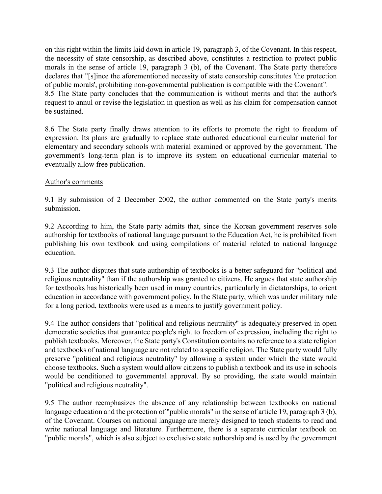on this right within the limits laid down in article 19, paragraph 3, of the Covenant. In this respect, the necessity of state censorship, as described above, constitutes a restriction to protect public morals in the sense of article 19, paragraph 3 (b), of the Covenant. The State party therefore declares that "[s]ince the aforementioned necessity of state censorship constitutes 'the protection of public morals', prohibiting non-governmental publication is compatible with the Covenant". 8.5 The State party concludes that the communication is without merits and that the author's request to annul or revise the legislation in question as well as his claim for compensation cannot be sustained.

8.6 The State party finally draws attention to its efforts to promote the right to freedom of expression. Its plans are gradually to replace state authored educational curricular material for elementary and secondary schools with material examined or approved by the government. The government's long-term plan is to improve its system on educational curricular material to eventually allow free publication.

### Author's comments

9.1 By submission of 2 December 2002, the author commented on the State party's merits submission.

9.2 According to him, the State party admits that, since the Korean government reserves sole authorship for textbooks of national language pursuant to the Education Act, he is prohibited from publishing his own textbook and using compilations of material related to national language education.

9.3 The author disputes that state authorship of textbooks is a better safeguard for "political and religious neutrality" than if the authorship was granted to citizens. He argues that state authorship for textbooks has historically been used in many countries, particularly in dictatorships, to orient education in accordance with government policy. In the State party, which was under military rule for a long period, textbooks were used as a means to justify government policy.

9.4 The author considers that "political and religious neutrality" is adequately preserved in open democratic societies that guarantee people's right to freedom of expression, including the right to publish textbooks. Moreover, the State party's Constitution contains no reference to a state religion and textbooks of national language are not related to a specific religion. The State party would fully preserve "political and religious neutrality" by allowing a system under which the state would choose textbooks. Such a system would allow citizens to publish a textbook and its use in schools would be conditioned to governmental approval. By so providing, the state would maintain "political and religious neutrality".

9.5 The author reemphasizes the absence of any relationship between textbooks on national language education and the protection of "public morals" in the sense of article 19, paragraph 3 (b), of the Covenant. Courses on national language are merely designed to teach students to read and write national language and literature. Furthermore, there is a separate curricular textbook on "public morals", which is also subject to exclusive state authorship and is used by the government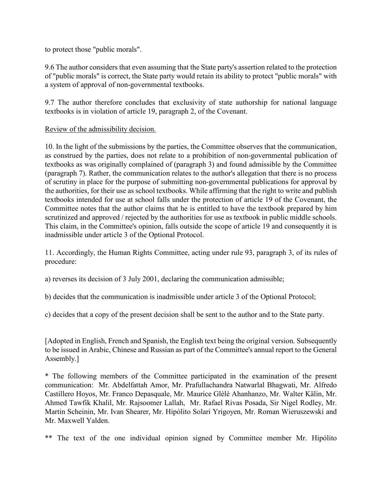to protect those "public morals".

9.6 The author considers that even assuming that the State party's assertion related to the protection of "public morals" is correct, the State party would retain its ability to protect "public morals" with a system of approval of non-governmental textbooks.

9.7 The author therefore concludes that exclusivity of state authorship for national language textbooks is in violation of article 19, paragraph 2, of the Covenant.

# Review of the admissibility decision.

10. In the light of the submissions by the parties, the Committee observes that the communication, as construed by the parties, does not relate to a prohibition of non-governmental publication of textbooks as was originally complained of (paragraph 3) and found admissible by the Committee (paragraph 7). Rather, the communication relates to the author's allegation that there is no process of scrutiny in place for the purpose of submitting non-governmental publications for approval by the authorities, for their use as school textbooks. While affirming that the right to write and publish textbooks intended for use at school falls under the protection of article 19 of the Covenant, the Committee notes that the author claims that he is entitled to have the textbook prepared by him scrutinized and approved / rejected by the authorities for use as textbook in public middle schools. This claim, in the Committee's opinion, falls outside the scope of article 19 and consequently it is inadmissible under article 3 of the Optional Protocol.

11. Accordingly, the Human Rights Committee, acting under rule 93, paragraph 3, of its rules of procedure:

a) reverses its decision of 3 July 2001, declaring the communication admissible;

b) decides that the communication is inadmissible under article 3 of the Optional Protocol;

c) decides that a copy of the present decision shall be sent to the author and to the State party.

[Adopted in English, French and Spanish, the English text being the original version. Subsequently to be issued in Arabic, Chinese and Russian as part of the Committee's annual report to the General Assembly.]

\* The following members of the Committee participated in the examination of the present communication: Mr. Abdelfattah Amor, Mr. Prafullachandra Natwarlal Bhagwati, Mr. Alfredo Castillero Hoyos, Mr. Franco Depasquale, Mr. Maurice Glèlè Ahanhanzo, Mr. Walter Kälin, Mr. Ahmed Tawfik Khalil, Mr. Rajsoomer Lallah, Mr. Rafael Rivas Posada, Sir Nigel Rodley, Mr. Martin Scheinin, Mr. Ivan Shearer, Mr. Hipólito Solari Yrigoyen, Mr. Roman Wieruszewski and Mr. Maxwell Yalden.

\*\* The text of the one individual opinion signed by Committee member Mr. Hipólito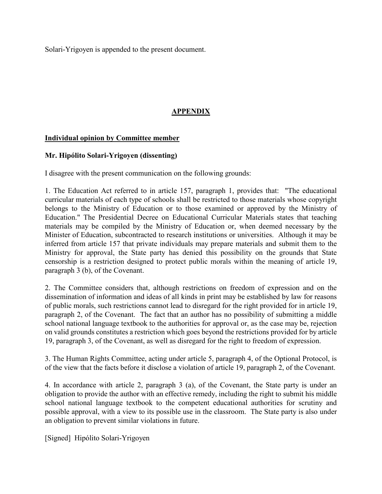Solari-Yrigoyen is appended to the present document.

# APPENDIX

# Individual opinion by Committee member

### Mr. Hipólito Solari-Yrigoyen (dissenting)

I disagree with the present communication on the following grounds:

1. The Education Act referred to in article 157, paragraph 1, provides that: "The educational curricular materials of each type of schools shall be restricted to those materials whose copyright belongs to the Ministry of Education or to those examined or approved by the Ministry of Education." The Presidential Decree on Educational Curricular Materials states that teaching materials may be compiled by the Ministry of Education or, when deemed necessary by the Minister of Education, subcontracted to research institutions or universities. Although it may be inferred from article 157 that private individuals may prepare materials and submit them to the Ministry for approval, the State party has denied this possibility on the grounds that State censorship is a restriction designed to protect public morals within the meaning of article 19, paragraph 3 (b), of the Covenant.

2. The Committee considers that, although restrictions on freedom of expression and on the dissemination of information and ideas of all kinds in print may be established by law for reasons of public morals, such restrictions cannot lead to disregard for the right provided for in article 19, paragraph 2, of the Covenant. The fact that an author has no possibility of submitting a middle school national language textbook to the authorities for approval or, as the case may be, rejection on valid grounds constitutes a restriction which goes beyond the restrictions provided for by article 19, paragraph 3, of the Covenant, as well as disregard for the right to freedom of expression.

3. The Human Rights Committee, acting under article 5, paragraph 4, of the Optional Protocol, is of the view that the facts before it disclose a violation of article 19, paragraph 2, of the Covenant.

4. In accordance with article 2, paragraph 3 (a), of the Covenant, the State party is under an obligation to provide the author with an effective remedy, including the right to submit his middle school national language textbook to the competent educational authorities for scrutiny and possible approval, with a view to its possible use in the classroom. The State party is also under an obligation to prevent similar violations in future.

[Signed] Hipólito Solari-Yrigoyen